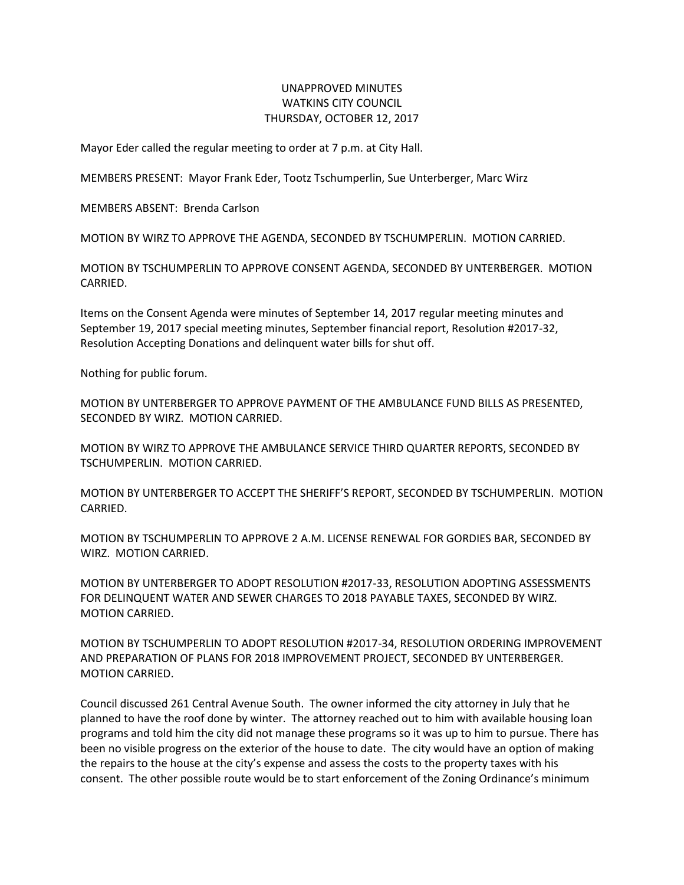## UNAPPROVED MINUTES WATKINS CITY COUNCIL THURSDAY, OCTOBER 12, 2017

Mayor Eder called the regular meeting to order at 7 p.m. at City Hall.

MEMBERS PRESENT: Mayor Frank Eder, Tootz Tschumperlin, Sue Unterberger, Marc Wirz

MEMBERS ABSENT: Brenda Carlson

MOTION BY WIRZ TO APPROVE THE AGENDA, SECONDED BY TSCHUMPERLIN. MOTION CARRIED.

MOTION BY TSCHUMPERLIN TO APPROVE CONSENT AGENDA, SECONDED BY UNTERBERGER. MOTION CARRIED.

Items on the Consent Agenda were minutes of September 14, 2017 regular meeting minutes and September 19, 2017 special meeting minutes, September financial report, Resolution #2017-32, Resolution Accepting Donations and delinquent water bills for shut off.

Nothing for public forum.

MOTION BY UNTERBERGER TO APPROVE PAYMENT OF THE AMBULANCE FUND BILLS AS PRESENTED, SECONDED BY WIRZ. MOTION CARRIED.

MOTION BY WIRZ TO APPROVE THE AMBULANCE SERVICE THIRD QUARTER REPORTS, SECONDED BY TSCHUMPERLIN. MOTION CARRIED.

MOTION BY UNTERBERGER TO ACCEPT THE SHERIFF'S REPORT, SECONDED BY TSCHUMPERLIN. MOTION CARRIED.

MOTION BY TSCHUMPERLIN TO APPROVE 2 A.M. LICENSE RENEWAL FOR GORDIES BAR, SECONDED BY WIRZ. MOTION CARRIED.

MOTION BY UNTERBERGER TO ADOPT RESOLUTION #2017-33, RESOLUTION ADOPTING ASSESSMENTS FOR DELINQUENT WATER AND SEWER CHARGES TO 2018 PAYABLE TAXES, SECONDED BY WIRZ. MOTION CARRIED.

MOTION BY TSCHUMPERLIN TO ADOPT RESOLUTION #2017-34, RESOLUTION ORDERING IMPROVEMENT AND PREPARATION OF PLANS FOR 2018 IMPROVEMENT PROJECT, SECONDED BY UNTERBERGER. MOTION CARRIED.

Council discussed 261 Central Avenue South. The owner informed the city attorney in July that he planned to have the roof done by winter. The attorney reached out to him with available housing loan programs and told him the city did not manage these programs so it was up to him to pursue. There has been no visible progress on the exterior of the house to date. The city would have an option of making the repairs to the house at the city's expense and assess the costs to the property taxes with his consent. The other possible route would be to start enforcement of the Zoning Ordinance's minimum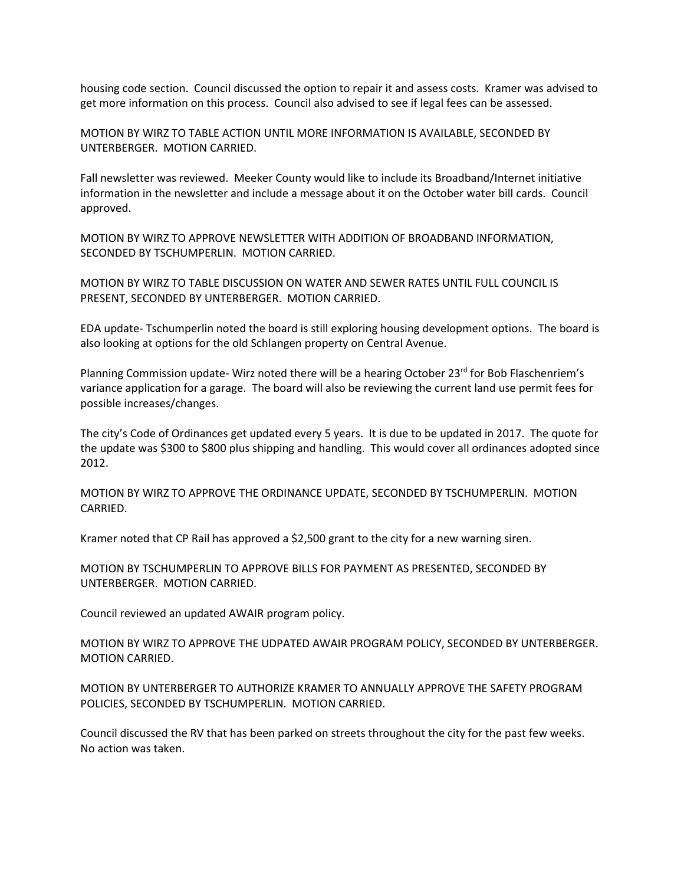housing code section. Council discussed the option to repair it and assess costs. Kramer was advised to get more information on this process. Council also advised to see if legal fees can be assessed.

MOTION BY WIRZ TO TABLE ACTION UNTIL MORE INFORMATION IS AVAILABLE, SECONDED BY UNTERBERGER. MOTION CARRIED.

Fall newsletter was reviewed. Meeker County would like to include its Broadband/Internet initiative information in the newsletter and include a message about it on the October water bill cards. Council approved.

MOTION BY WIRZ TO APPROVE NEWSLETTER WITH ADDITION OF BROADBAND INFORMATION, SECONDED BY TSCHUMPERLIN. MOTION CARRIED.

MOTION BY WIRZ TO TABLE DISCUSSION ON WATER AND SEWER RATES UNTIL FULL COUNCIL IS PRESENT, SECONDED BY UNTERBERGER. MOTION CARRIED.

EDA update- Tschumperlin noted the board is still exploring housing development options. The board is also looking at options for the old Schlangen property on Central Avenue.

Planning Commission update- Wirz noted there will be a hearing October 23rd for Bob Flaschenriem's variance application for a garage. The board will also be reviewing the current land use permit fees for possible increases/changes.

The city's Code of Ordinances get updated every 5 years. It is due to be updated in 2017. The quote for the update was \$300 to \$800 plus shipping and handling. This would cover all ordinances adopted since 2012.

MOTION BY WIRZ TO APPROVE THE ORDINANCE UPDATE, SECONDED BY TSCHUMPERLIN. MOTION CARRIED.

Kramer noted that CP Rail has approved a \$2,500 grant to the city for a new warning siren.

MOTION BY TSCHUMPERLIN TO APPROVE BILLS FOR PAYMENT AS PRESENTED, SECONDED BY UNTERBERGER. MOTION CARRIED.

Council reviewed an updated AWAIR program policy.

MOTION BY WIRZ TO APPROVE THE UDPATED AWAIR PROGRAM POLICY, SECONDED BY UNTERBERGER. MOTION CARRIED.

MOTION BY UNTERBERGER TO AUTHORIZE KRAMER TO ANNUALLY APPROVE THE SAFETY PROGRAM POLICIES, SECONDED BY TSCHUMPERLIN. MOTION CARRIED.

Council discussed the RV that has been parked on streets throughout the city for the past few weeks. No action was taken.